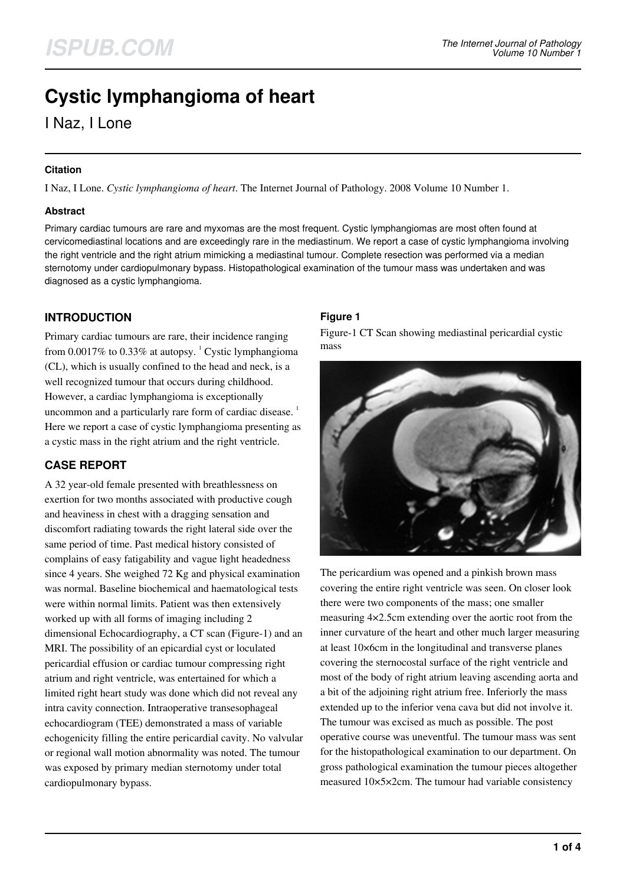# **Cystic lymphangioma of heart**

I Naz, I Lone

#### **Citation**

I Naz, I Lone. *Cystic lymphangioma of heart*. The Internet Journal of Pathology. 2008 Volume 10 Number 1.

#### **Abstract**

Primary cardiac tumours are rare and myxomas are the most frequent. Cystic lymphangiomas are most often found at cervicomediastinal locations and are exceedingly rare in the mediastinum. We report a case of cystic lymphangioma involving the right ventricle and the right atrium mimicking a mediastinal tumour. Complete resection was performed via a median sternotomy under cardiopulmonary bypass. Histopathological examination of the tumour mass was undertaken and was diagnosed as a cystic lymphangioma.

## **INTRODUCTION**

Primary cardiac tumours are rare, their incidence ranging from 0.0017% to 0.33% at autopsy.  $^{1}$  Cystic lymphangioma (CL), which is usually confined to the head and neck, is a well recognized tumour that occurs during childhood. However, a cardiac lymphangioma is exceptionally uncommon and a particularly rare form of cardiac disease.<sup>1</sup> Here we report a case of cystic lymphangioma presenting as a cystic mass in the right atrium and the right ventricle.

# **CASE REPORT**

A 32 year-old female presented with breathlessness on exertion for two months associated with productive cough and heaviness in chest with a dragging sensation and discomfort radiating towards the right lateral side over the same period of time. Past medical history consisted of complains of easy fatigability and vague light headedness since 4 years. She weighed 72 Kg and physical examination was normal. Baseline biochemical and haematological tests were within normal limits. Patient was then extensively worked up with all forms of imaging including 2 dimensional Echocardiography, a CT scan (Figure-1) and an MRI. The possibility of an epicardial cyst or loculated pericardial effusion or cardiac tumour compressing right atrium and right ventricle, was entertained for which a limited right heart study was done which did not reveal any intra cavity connection. Intraoperative transesophageal echocardiogram (TEE) demonstrated a mass of variable echogenicity filling the entire pericardial cavity. No valvular or regional wall motion abnormality was noted. The tumour was exposed by primary median sternotomy under total cardiopulmonary bypass.

## **Figure 1**

Figure-1 CT Scan showing mediastinal pericardial cystic mass



The pericardium was opened and a pinkish brown mass covering the entire right ventricle was seen. On closer look there were two components of the mass; one smaller measuring 4×2.5cm extending over the aortic root from the inner curvature of the heart and other much larger measuring at least 10×6cm in the longitudinal and transverse planes covering the sternocostal surface of the right ventricle and most of the body of right atrium leaving ascending aorta and a bit of the adjoining right atrium free. Inferiorly the mass extended up to the inferior vena cava but did not involve it. The tumour was excised as much as possible. The post operative course was uneventful. The tumour mass was sent for the histopathological examination to our department. On gross pathological examination the tumour pieces altogether measured 10×5×2cm. The tumour had variable consistency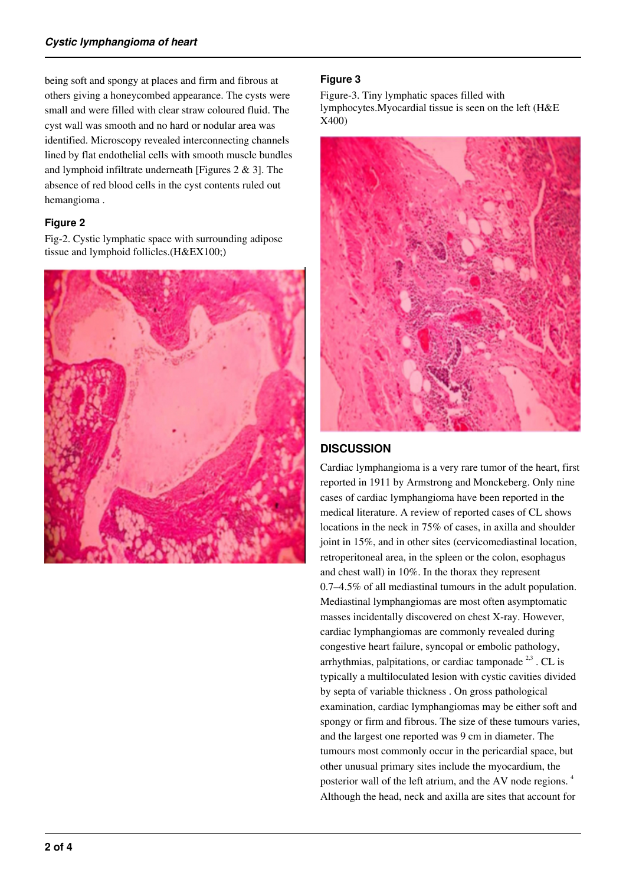being soft and spongy at places and firm and fibrous at others giving a honeycombed appearance. The cysts were small and were filled with clear straw coloured fluid. The cyst wall was smooth and no hard or nodular area was identified. Microscopy revealed interconnecting channels lined by flat endothelial cells with smooth muscle bundles and lymphoid infiltrate underneath [Figures 2 & 3]. The absence of red blood cells in the cyst contents ruled out hemangioma .

#### **Figure 2**

Fig-2. Cystic lymphatic space with surrounding adipose tissue and lymphoid follicles.(H&EX100;)



#### **Figure 3**

Figure-3. Tiny lymphatic spaces filled with lymphocytes.Myocardial tissue is seen on the left (H&E X400)



## **DISCUSSION**

Cardiac lymphangioma is a very rare tumor of the heart, first reported in 1911 by Armstrong and Monckeberg. Only nine cases of cardiac lymphangioma have been reported in the medical literature. A review of reported cases of CL shows locations in the neck in 75% of cases, in axilla and shoulder joint in 15%, and in other sites (cervicomediastinal location, retroperitoneal area, in the spleen or the colon, esophagus and chest wall) in 10%. In the thorax they represent 0.7–4.5% of all mediastinal tumours in the adult population. Mediastinal lymphangiomas are most often asymptomatic masses incidentally discovered on chest X-ray. However, cardiac lymphangiomas are commonly revealed during congestive heart failure, syncopal or embolic pathology, arrhythmias, palpitations, or cardiac tamponade<sup>2,3</sup>. CL is typically a multiloculated lesion with cystic cavities divided by septa of variable thickness . On gross pathological examination, cardiac lymphangiomas may be either soft and spongy or firm and fibrous. The size of these tumours varies, and the largest one reported was 9 cm in diameter. The tumours most commonly occur in the pericardial space, but other unusual primary sites include the myocardium, the posterior wall of the left atrium, and the AV node regions. <sup>4</sup> Although the head, neck and axilla are sites that account for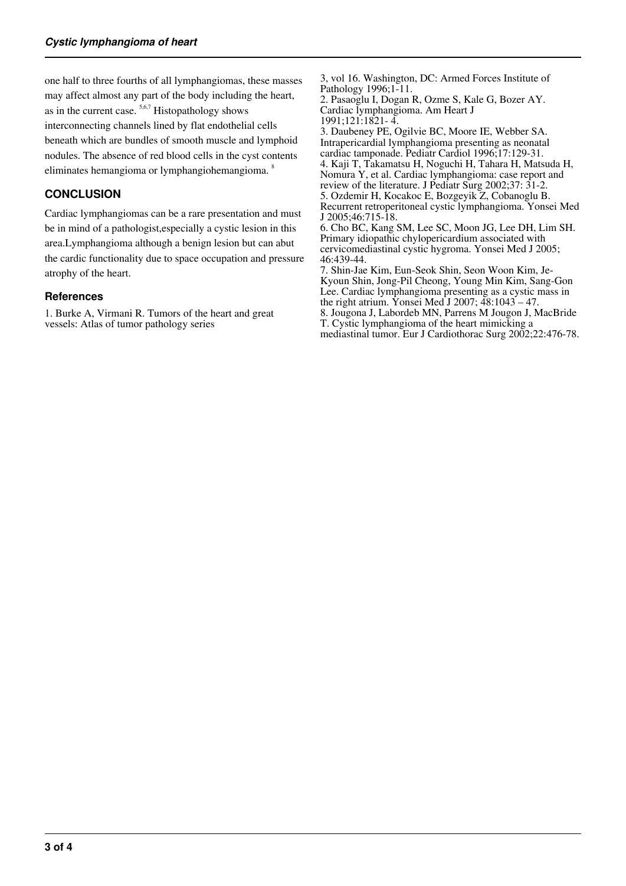one half to three fourths of all lymphangiomas, these masses may affect almost any part of the body including the heart, as in the current case.  $5,6,7$  Histopathology shows interconnecting channels lined by flat endothelial cells beneath which are bundles of smooth muscle and lymphoid nodules. The absence of red blood cells in the cyst contents eliminates hemangioma or lymphangiohemangioma. <sup>8</sup>

#### **CONCLUSION**

Cardiac lymphangiomas can be a rare presentation and must be in mind of a pathologist,especially a cystic lesion in this area.Lymphangioma although a benign lesion but can abut the cardic functionality due to space occupation and pressure atrophy of the heart.

#### **References**

1. Burke A, Virmani R. Tumors of the heart and great vessels: Atlas of tumor pathology series

3, vol 16. Washington, DC: Armed Forces Institute of Pathology 1996;1-11.

2. Pasaoglu I, Dogan R, Ozme S, Kale G, Bozer AY. Cardiac lymphangioma. Am Heart J 1991;121:1821- 4.

3. Daubeney PE, Ogilvie BC, Moore IE, Webber SA. Intrapericardial lymphangioma presenting as neonatal cardiac tamponade. Pediatr Cardiol 1996;17:129-31. 4. Kaji T, Takamatsu H, Noguchi H, Tahara H, Matsuda H, Nomura Y, et al. Cardiac lymphangioma: case report and review of the literature. J Pediatr Surg 2002;37: 31-2. 5. Ozdemir H, Kocakoc E, Bozgeyik Z, Cobanoglu B. Recurrent retroperitoneal cystic lymphangioma. Yonsei Med J 2005;46:715-18. 6. Cho BC, Kang SM, Lee SC, Moon JG, Lee DH, Lim SH. Primary idiopathic chylopericardium associated with cervicomediastinal cystic hygroma. Yonsei Med J 2005; 46:439-44. 7. Shin-Jae Kim, Eun-Seok Shin, Seon Woon Kim, Je-Kyoun Shin, Jong-Pil Cheong, Young Min Kim, Sang-Gon Lee. Cardiac lymphangioma presenting as a cystic mass in the right atrium. Yonsei Med J 2007; 48:1043 – 47.

8. Jougona J, Labordeb MN, Parrens M Jougon J, MacBride T. Cystic lymphangioma of the heart mimicking a mediastinal tumor. Eur J Cardiothorac Surg 2002;22:476-78.